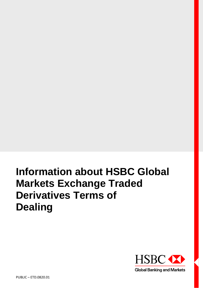# **Information about HSBC Global Markets Exchange Traded Derivatives Terms of Dealing**

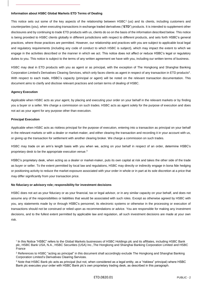#### **Information about HSBC Global Markets ETD Terms of Dealing**

This notice sets out some of the key aspects of the relationship between  $HSEC<sup>1</sup>$  (us) and its clients, including customers and counterparties (you), when executing transactions in exchange traded derivatives ("**ETD**") products. It is intended to supplement other disclosures and by continuing to trade ETD products with us, clients do so on the basis of the information described below. This notice is being provided to HSBC clients globally in different jurisdictions with respect to different products, and sets forth HSBC's general practices, where those practices are permitted. However, our relationship and practices with you are subject to applicable local legal and regulatory requirements (including any code of conduct to which HSBC is subject), which may impact the extent to which we engage in the activities described or the manner in which we act. This notice does not affect or reduce HSBC's legal or regulatory duties to you. This notice is subject to the terms of any written agreement we have with you, including our written terms of business.

HSBC may deal in ETD products with you as agent or as principal, with the exception of The Hongkong and Shanghai Banking Corporation Limited's Derivatives Clearing Services, which only faces clients as agent in respect of any transaction in ETD products<sup>2</sup>. With respect to each trade, HSBC's capacity (principal or agent) will be noted on the relevant transaction documentation. This document aims to clarify and disclose relevant practices and certain terms of dealing of HSBC.

## **Agency Execution**

Applicable when HSBC acts as your agent, by placing and executing your order on your behalf in the relevant markets or by finding you a buyer or a seller. We charge a commission on such trades. HSBC acts as agent solely for the purpose of execution and does not act as your agent for any purpose other than execution.

#### **Principal Execution**

Applicable when HSBC acts as riskless principal for the purpose of execution, entering into a transaction as principal on your behalf in the relevant markets or with a dealer or market-maker, and either clearing the transaction and recording it in your account with us, or giving up the transaction for settlement with another clearing broker. We charge a commission on such trades.

HSBC may trade on an arm's length basis with you when we, acting on your behalf in respect of an order, determine HSBC's proprietary desk to be the appropriate execution venue.<sup>3</sup>

HSBC's proprietary desk, when acting as a dealer or market-maker, puts its own capital at risk and takes the other side of the trade as buyer or seller. To the extent permitted by local law and regulations, HSBC may directly or indirectly engage in bona fide hedging or positioning activity to reduce the market exposure associated with your order in whole or in part at its sole discretion at a price that may differ significantly from your transaction price.

## **No fiduciary or advisory role; responsibility for investment decisions**

HSBC does not act as your fiduciary or as your financial, tax or legal advisor, or in any similar capacity on your behalf, and does not assume any of the responsibilities or liabilities that would be associated with such roles. Except as otherwise agreed by HSBC with you, any statements made by or through HSBC's personnel, its electronic systems or otherwise in the processing or execution of transactions should not be construed or relied upon as recommendations or advice. You are responsible for making any investment decisions, and to the fullest extent permitted by applicable law and regulation, all such investment decisions are made at your own risk.

<sup>1</sup> In this Notice "HSBC" refers to the Global Markets businesses of HSBC Holdings plc and its affiliates, including HSBC Bank plc, HSBC Bank USA, N.A., HSBC Securities (USA) Inc.,The Hongkong and Shanghai Banking Corporation Limited and HSBC **France** 

<sup>&</sup>lt;sup>2</sup> References to HSBC "acting as principal" in this document shall accordingly exclude The Hongkong and Shanghai Banking Corporation Limited's Derivatives Clearing Services.

<sup>3</sup> Note that HSBC Bank plc acts as principal (but not, when considered as a legal entity, as a "riskless" principal) where HSBC Bank plc executes your order with HSBC Bank plc's own proprietary trading desk, as described in this paragraph.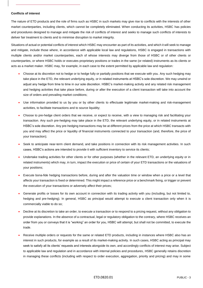#### **Conflicts of interest**

The nature of ETD products and the role of firms such as HSBC in such markets may give rise to conflicts with the interests of other market counterparties, including clients, which cannot be completely eliminated. When conducting its activities, HSBC has policies and procedures designed to manage and mitigate the risk of conflicts of interest and seeks to manage such conflicts of interests to deliver fair treatment to clients and to minimise disruption to market integrity.

Situations of actual or potential conflicts of interest which HSBC may encounter as part of its activities, and which it will seek to manage and mitigate, include those where, in accordance with applicable local law and regulations, HSBC is engaged in transactions with multiple clients and/or market counterparties, each of whose interests may diverge from those of HSBC or of other clients or counterparties, or where HSBC holds or executes proprietary positions or trades in the same (or related) instruments as its clients or acts as a market maker. HSBC may, for example, in each case to the extent permitted by applicable law and regulation:

- Choose at its discretion not to hedge or to hedge fully or partially positions that we execute with you. Any such hedging may take place in the ETD, the relevant underlying equity, or in related instruments at HSBC's sole discretion. We may unwind or adjust any hedge from time to time in our sole discretion. HSBC's market-making activity and any related risk management and hedging activities that take place before, during or after the execution of a client transaction will take into account the size of orders and prevailing market conditions;
- Use information provided to us by you or by other clients to effectuate legitimate market-making and risk-management activities, to facilitate transactions and to source liquidity;
- Choose to pre-hedge client orders that we receive, or expect to receive, with a view to managing risk and facilitating your transaction. Any such pre-hedging may take place in the ETD, the relevant underlying equity, or in related instruments at HSBC's sole discretion. Any pre-hedging transactions may be at different prices from the price at which HSBC transacts with you and may affect the price or liquidity of financial instruments connected to your transaction (and, therefore, the price of your transaction);
- Seek to anticipate near-term client demand, and take positions in connection with its risk management activities. In such cases, HSBC's actions are intended to provide it with sufficient inventory to service its clients;
- Undertake trading activities for other clients or for other purposes (whether in the relevant ETD, an underlying equity or in related instruments) which may, in turn, impact the execution or price of certain of your ETD transactions or the valuations of your positions;
- Execute bona-fide hedging transactions before, during and after the valuation time or window when a price or a level that affects your transaction is fixed or determined. This might impact a reference price or a benchmark fixing, or trigger or prevent the execution of your transactions or adversely affect their prices;
- Generate profits or losses for its own account in connection with its trading activity with you (including, but not limited to, hedging and pre-hedging). In general, HSBC as principal would attempt to execute a client transaction only when it is commercially viable to do so;
- Decline at its discretion to take an order, to execute a transaction or to respond to a pricing request, without any obligation to provide explanations. In the absence of a contractual, legal or regulatory obligation to the contrary, where HSBC receives an order from you or conveys that it is "working" an order for you, HSBC will attempt, but shall not be committed, to execute the trade.
- Receive multiple orders or requests for the same or related ETD products, including in instances where HSBC also has an interest in such products, for example as a result of its market-making activity. In such cases, HSBC acting as principal may seek to satisfy all its clients' requests and interests alongside its own, and accordingly conflicts of interest may arise. Subject to applicable law and regulation and in accordance with internal policies and procedures, HSBC generally retains discretion in managing these conflicts (including with respect to order execution, aggregation, priority and pricing) and may in some

#### ETD.0820.01 PUBLIC - 3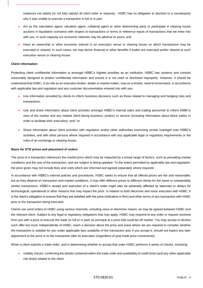instances not satisfy (or not fully satisfy) all client order or requests. HSBC has no obligation to disclose to a counterparty why it was unable to execute a transaction in full or in part;

- Act as the calculation agent, valuation agent, collateral agent or other determining party or participate in clearing house auctions in liquidation scenarios with respect to transactions or terms or reference inputs of transactions that we enter into with you. In such capacity our economic interests may be adverse to yours; and
- Have an ownership or other economic interest in an execution venue or clearing house on which transactions may be executed or cleared. In such cases, we may derive financial or other benefits if trades are executed and/or cleared at such execution venue or clearing house.

#### **Client information**

Protecting client confidential information is amongst HSBC's highest priorities as an institution. HSBC has systems and controls reasonably designed to protect confidential information and ensure it is not used or disclosed improperly. However, it should be understood that HSBC, in its role as an execution broker, dealer or market-maker, may on a limited, need-to-know basis, in accordance with applicable law and regulation and any customer documentation entered into with you:

- Use information provided by clients to inform business decisions such as those related to managing and hedging risks and transactions;
- Use and share information about client activities amongst HSBC's internal sales and trading personnel to inform HSBC's view of the market and any related client-facing business, product or service (including information about block trades in order to facilitate their execution); and / or
- Share information about client activities with regulators and/or other authorities exercising similar oversight over HSBC's activities, and with other persons where required in accordance with any applicable legal or regulatory requirements or the rules of an exchange or clearing house.

#### **Basis for ETD prices and placement of orders**

The price of a transaction references the market price which may be impacted by a broad range of factors, such as prevailing market conditions and the size of the transaction, and are subject to being updated. To the extent permitted by applicable law and regulation, the price given may not include fees and costs which are informed and agreed separately where required.

In accordance with HSBC's internal policies and procedures, HSBC seeks to ensure that all offered prices are fair and reasonable, but as they depend on transaction and market conditions, it may offer different prices to different clients for the same or substantially similar transactions. HSBC's receipt and execution of a client's order might also be adversely affected by latencies or delays for technological, operational or other reasons that may impact the price. In relation to both electronic and voice execution with HSBC, it is the client's obligation to ensure that they are satisfied with the price (indicative or firm) and other terms of any transaction with HSBC prior to the transaction being executed.

Clients can send orders to HSBC using various channels, including voice or electronic means, as may be agreed between HSBC and the relevant client. Subject to any legal or regulatory obligations that may apply, HSBC may respond to any order or request received from you with a price to execute the trade (in full or in part) as principal at a price that could be off market. You may accept or decline such offer but must, independently of HSBC, reach a decision about the price and (save where we are required to consider whether the transaction is suitable for you under applicable law) suitability of the transaction and, if you accept it, should not expect any later adjustment to the price or to the transaction after its execution (regardless of post-trade price movements).

When a client submits a trade order, and in determining whether to accept that order HSBC performs a series of checks, including:

• Validity checks: confirming the details contained within the trade order and availability of credit limits (and any other applicable risk limits) related to the client.